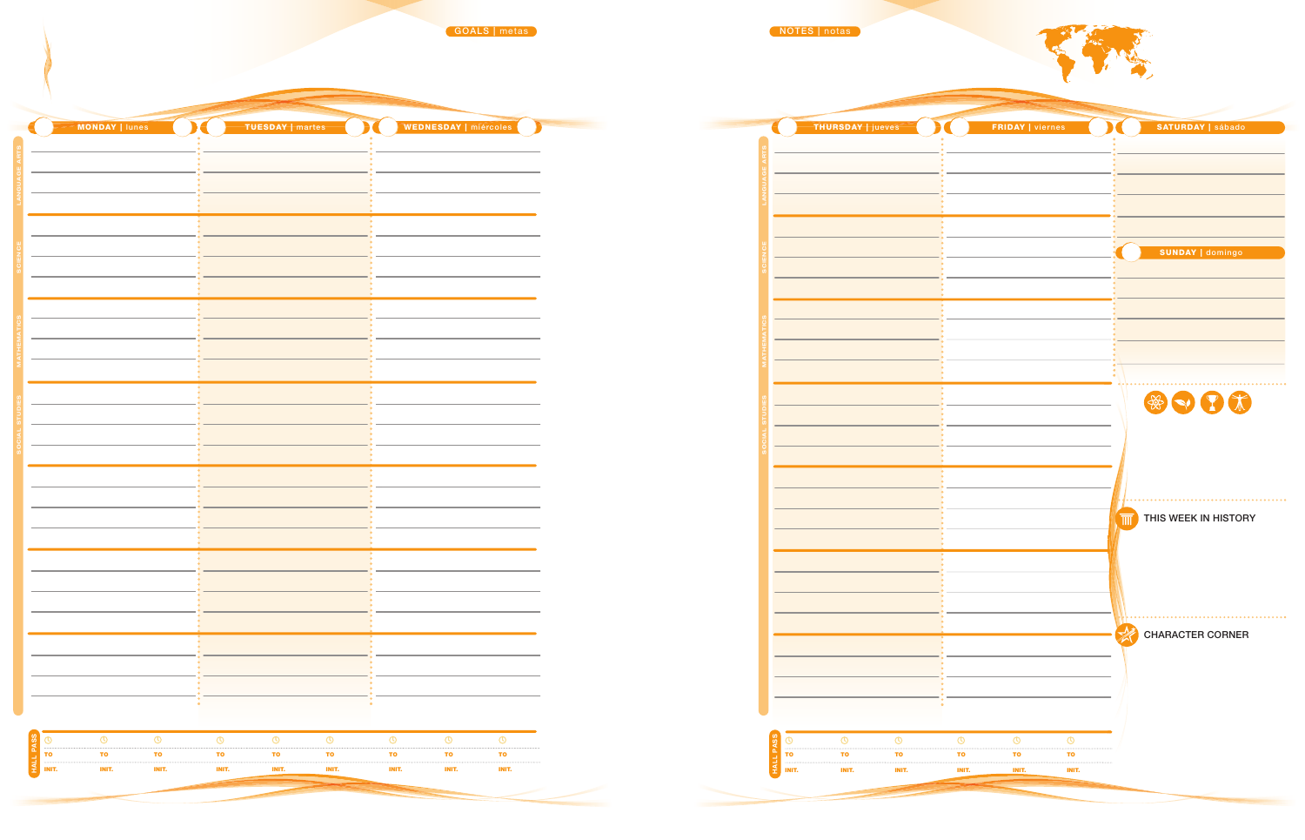|                                                             |                                                                             | $\overline{\mathbf{M}}$                                                            |                                                                  |                                                                                    | $\overline{\phantom{a}}$                   |  |
|-------------------------------------------------------------|-----------------------------------------------------------------------------|------------------------------------------------------------------------------------|------------------------------------------------------------------|------------------------------------------------------------------------------------|--------------------------------------------|--|
| MONDAY   lunes                                              | TUESDAY   martes                                                            | WEDNESDAY   miércoles                                                              | THURSDAY   jueves                                                | FRIDAY   viernes                                                                   | SATURDAY   sábado                          |  |
|                                                             |                                                                             |                                                                                    |                                                                  |                                                                                    |                                            |  |
|                                                             |                                                                             |                                                                                    |                                                                  |                                                                                    |                                            |  |
|                                                             |                                                                             |                                                                                    |                                                                  |                                                                                    |                                            |  |
|                                                             |                                                                             |                                                                                    |                                                                  |                                                                                    |                                            |  |
|                                                             |                                                                             |                                                                                    |                                                                  |                                                                                    | <b>SUNDAY   domingo</b>                    |  |
|                                                             |                                                                             |                                                                                    |                                                                  |                                                                                    |                                            |  |
|                                                             |                                                                             |                                                                                    |                                                                  |                                                                                    |                                            |  |
|                                                             |                                                                             |                                                                                    |                                                                  |                                                                                    |                                            |  |
|                                                             |                                                                             |                                                                                    |                                                                  |                                                                                    |                                            |  |
|                                                             |                                                                             |                                                                                    |                                                                  |                                                                                    |                                            |  |
|                                                             |                                                                             |                                                                                    |                                                                  |                                                                                    | $\circledast \bullet \bullet \bullet \ast$ |  |
|                                                             |                                                                             |                                                                                    |                                                                  |                                                                                    |                                            |  |
|                                                             |                                                                             |                                                                                    |                                                                  |                                                                                    |                                            |  |
|                                                             |                                                                             |                                                                                    |                                                                  |                                                                                    |                                            |  |
|                                                             |                                                                             |                                                                                    |                                                                  |                                                                                    |                                            |  |
|                                                             |                                                                             |                                                                                    |                                                                  |                                                                                    | THIS WEEK IN HISTORY                       |  |
|                                                             |                                                                             |                                                                                    |                                                                  |                                                                                    |                                            |  |
|                                                             |                                                                             |                                                                                    |                                                                  |                                                                                    |                                            |  |
|                                                             |                                                                             |                                                                                    |                                                                  |                                                                                    |                                            |  |
|                                                             |                                                                             |                                                                                    |                                                                  |                                                                                    | CHARACTER CORNER                           |  |
|                                                             |                                                                             |                                                                                    |                                                                  |                                                                                    |                                            |  |
|                                                             |                                                                             |                                                                                    |                                                                  |                                                                                    |                                            |  |
|                                                             |                                                                             |                                                                                    |                                                                  |                                                                                    |                                            |  |
|                                                             |                                                                             |                                                                                    |                                                                  |                                                                                    |                                            |  |
| $\circ$<br>$\circledcirc$<br><b>TO</b><br><b>TO</b><br>l TO | $\circledcirc$<br>$\circ$<br>$\circ$<br><b>TO</b><br><b>TO</b><br><b>TO</b> | $\circledcirc$<br>$\circ$<br>$\circledcirc$<br><b>TO</b><br><b>TO</b><br><b>TO</b> | $\circledcirc$<br>$\circ$<br><b>TO</b><br><b>TO</b><br><b>TO</b> | $\circledcirc$<br>$\circledcirc$<br>$\circ$<br><b>TO</b><br><b>TO</b><br><b>TO</b> |                                            |  |
| INIT.<br>INIT.<br>$\equiv$ INIT.                            | INIT.<br>INIT.<br><b>INIT.</b>                                              | INIT.<br>INIT.<br>INIT.                                                            | $\leq$ INIT.<br>INIT.<br>INIT.                                   | INIT.<br><b>INIT.</b><br>INIT.                                                     |                                            |  |